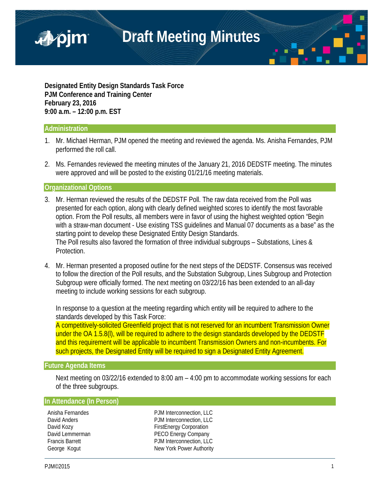

**Designated Entity Design Standards Task Force PJM Conference and Training Center February 23, 2016 9:00 a.m. – 12:00 p.m. EST**

### **Administration**

- 1. Mr. Michael Herman, PJM opened the meeting and reviewed the agenda. Ms. Anisha Fernandes, PJM performed the roll call.
- 2. Ms. Fernandes reviewed the meeting minutes of the January 21, 2016 DEDSTF meeting. The minutes were approved and will be posted to the existing 01/21/16 meeting materials.

**Organizational Options**

- 3. Mr. Herman reviewed the results of the DEDSTF Poll. The raw data received from the Poll was presented for each option, along with clearly defined weighted scores to identify the most favorable option. From the Poll results, all members were in favor of using the highest weighted option "Begin with a straw-man document - Use existing TSS guidelines and Manual 07 documents as a base" as the starting point to develop these Designated Entity Design Standards. The Poll results also favored the formation of three individual subgroups – Substations, Lines & Protection.
- 4. Mr. Herman presented a proposed outline for the next steps of the DEDSTF. Consensus was received to follow the direction of the Poll results, and the Substation Subgroup, Lines Subgroup and Protection Subgroup were officially formed. The next meeting on 03/22/16 has been extended to an all-day meeting to include working sessions for each subgroup.

In response to a question at the meeting regarding which entity will be required to adhere to the standards developed by this Task Force:

A competitively-solicited Greenfield project that is not reserved for an incumbent Transmission Owner under the OA 1.5.8(I), will be required to adhere to the design standards developed by the DEDSTF and this requirement will be applicable to incumbent Transmission Owners and non-incumbents. For such projects, the Designated Entity will be required to sign a Designated Entity Agreement.

#### **Future Agenda Items**

Next meeting on 03/22/16 extended to 8:00 am – 4:00 pm to accommodate working sessions for each of the three subgroups.

#### **In Attendance (In Person)**

Anisha Fernandes **PJM** Interconnection, LLC David Anders **PJM** Interconnection, LLC David Kozy **Example 20** FirstEnergy Corporation David Lemmerman **PECO Energy Company**<br> **PECO Energy Company**<br>
P.JM Interconnection. LLC PJM Interconnection, LLC George Kogut New York Power Authority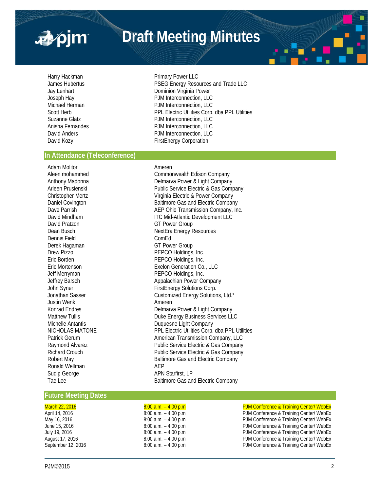

# **Draft Meeting Minutes**

Harry Hackman **Primary Power LLC** James Hubertus **PSEG Energy Resources and Trade LLC** Jay Lenhart **Dominion Virginia Power** Joseph Hay PJM Interconnection, LLC Michael Herman **PJM Interconnection, LLC**<br> **PPI Flectric Utilities Corp.**<br>
PPI Flectric Utilities Corp. PPL Electric Utilities Corp. dba PPL Utilities Suzanne Glatz<br>
Anisha Fernandes<br>
PJM Interconnection, LLC Anisha Fernandes **PJM Interconnection, LLC**<br> **David Anders** PJM Interconnection, LLC PJM Interconnection, LLC David Kozy **Example 20** FirstEnergy Corporation

#### **In Attendance (Teleconference)**

Adam Molitor **American** Ameren David Pratzon GT Power Group Dennis Field ComEd Derek Hagaman GT Power Group<br>Drew Pizzo GT Power Group Drew Pizzo PEPCO Holdings, Inc. Justin Wenk **Ameren** Ronald Wellman Sudip George **APN** Starfirst, LP Tae Lee **Baltimore Gas and Electric Company** 

Aleen mohammed Commonwealth Edison Company Anthony Madonna **Delmarva Power & Light Company** Arleen Prusienski **Arleen Prusienski** Public Service Electric & Gas Company Christopher Mertz **Christopher Mertz** Virginia Electric & Power Company<br>
Daniel Covington **Company**<br>
Baltimore Gas and Electric Company Baltimore Gas and Electric Company Dave Parrish **Dave Parrish AEP Ohio Transmission Company, Inc.** David Mindham **ITC Mid-Atlantic Development LLC** Dean Busch NextEra Energy Resources PEPCO Holdings, Inc. Eric Mortenson **Exelon Generation Co., LLC**<br>
Jeff Merryman **Exelon Generation Co., LLC**<br>
PEPCO Holdings, Inc. PEPCO Holdings, Inc. Jeffrey Barsch **Appalachian Power Company** John Syner **FirstEnergy Solutions Corp.**<br>Jonathan Sasser **Access 1996** Customized Energy Solution Customized Energy Solutions, Ltd.\* Konrad Endres **Endremarya Endremarya Power & Light Company**<br>
Duke Energy Rusiness Services LL Matthew Tullis **Energy Business Services LLC**<br>Michelle Antantis **Duanes Access Services Cultimens**<br>Duguesne Light Company Duquesne Light Company NICHOLAS MATONE PPL Electric Utilities Corp. dba PPL Utilities Patrick Gerum **American Transmission Company, LLC** Raymond Alvarez **Public Service Electric & Gas Company** Richard Crouch Public Service Electric & Gas Company Robert May **Baltimore Gas and Electric Company**<br>
Ronald Wellman **Baltimore Gas and Electric Company** 

#### **Future Meeting Dates**

## March 22, 2016 **8:00 a.m.** – 4:00 p.m end and the DJM Conference & Training Center/ WebEx<br>
8:00 a.m. – 4:00 p.m end and the PJM Conference & Training Center/ WebEx

April 14, 2016 **8:00 a.m.** – 4:00 p.m PJM Conference & Training Center/ WebEx<br>
May 16, 2016 8:00 a.m. – 4:00 p.m PJM Conference & Training Center/ WebEx May 16, 2016 8:00 a.m. – 4:00 p.m PJM Conference & Training Center/ WebEx PJM Conference & Training Center/ WebEx July 19, 2016 **8:00 a.m.** – 4:00 p.m **PJM Conference & Training Center/ WebEx** August 17, 2016 **8:00 a.m.** – 4:00 p.m **PJM Conference & Training Center/ WebEx** September 12, 2016 **8:00 a.m.** – 4:00 p.m **PJM Conference & Training Center/ WebEx**